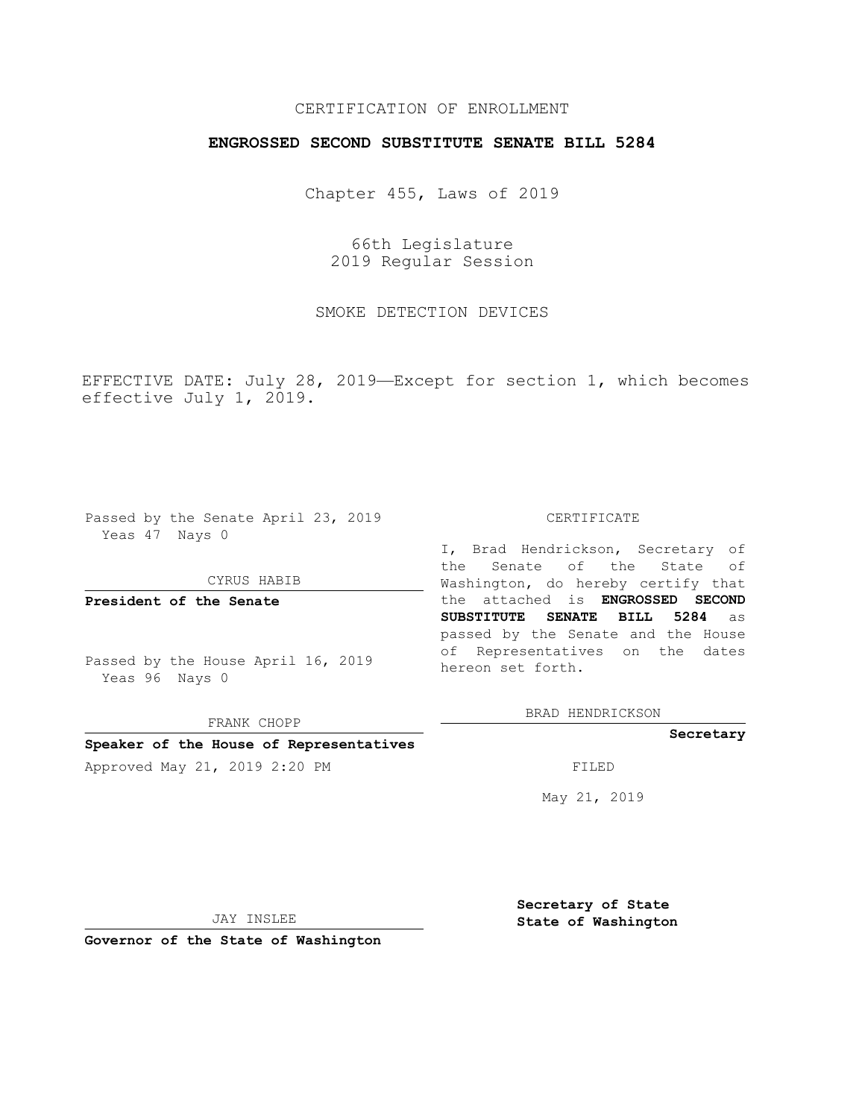# CERTIFICATION OF ENROLLMENT

## **ENGROSSED SECOND SUBSTITUTE SENATE BILL 5284**

Chapter 455, Laws of 2019

66th Legislature 2019 Regular Session

SMOKE DETECTION DEVICES

EFFECTIVE DATE: July 28, 2019—Except for section 1, which becomes effective July 1, 2019.

Passed by the Senate April 23, 2019 Yeas 47 Nays 0

CYRUS HABIB

**President of the Senate**

Passed by the House April 16, 2019 Yeas 96 Nays 0

FRANK CHOPP **Speaker of the House of Representatives**

# CERTIFICATE

I, Brad Hendrickson, Secretary of the Senate of the State of Washington, do hereby certify that the attached is **ENGROSSED SECOND SUBSTITUTE SENATE BILL 5284** as passed by the Senate and the House of Representatives on the dates hereon set forth.

BRAD HENDRICKSON

#### **Secretary**

Approved May 21, 2019 2:20 PM

May 21, 2019

JAY INSLEE

**Governor of the State of Washington**

**Secretary of State State of Washington**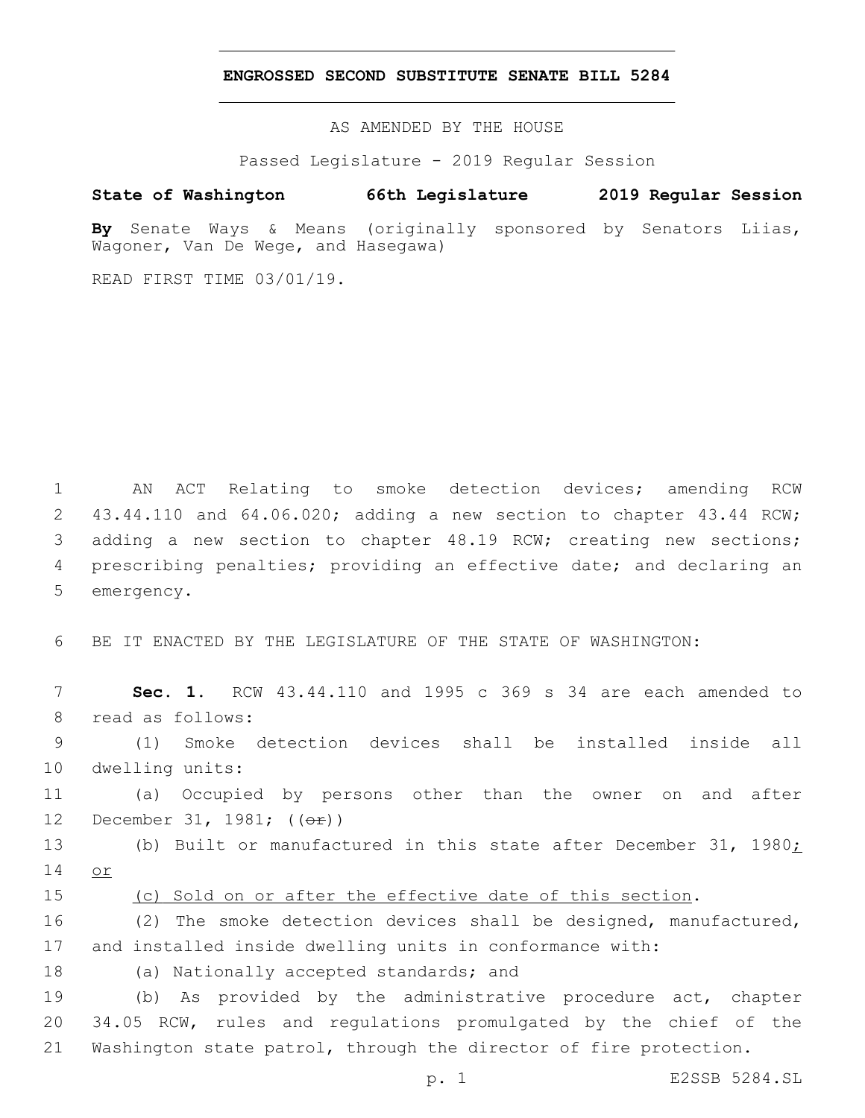### **ENGROSSED SECOND SUBSTITUTE SENATE BILL 5284**

AS AMENDED BY THE HOUSE

Passed Legislature - 2019 Regular Session

# **State of Washington 66th Legislature 2019 Regular Session**

**By** Senate Ways & Means (originally sponsored by Senators Liias, Wagoner, Van De Wege, and Hasegawa)

READ FIRST TIME 03/01/19.

1 AN ACT Relating to smoke detection devices; amending RCW 2 43.44.110 and 64.06.020; adding a new section to chapter 43.44 RCW; 3 adding a new section to chapter 48.19 RCW; creating new sections; 4 prescribing penalties; providing an effective date; and declaring an 5 emergency.

6 BE IT ENACTED BY THE LEGISLATURE OF THE STATE OF WASHINGTON:

7 **Sec. 1.** RCW 43.44.110 and 1995 c 369 s 34 are each amended to 8 read as follows:

9 (1) Smoke detection devices shall be installed inside all 10 dwelling units:

11 (a) Occupied by persons other than the owner on and after 12 December 31, 1981; ((<del>or</del>))

13 (b) Built or manufactured in this state after December 31, 1980; 14 or

15 (c) Sold on or after the effective date of this section.

16 (2) The smoke detection devices shall be designed, manufactured, 17 and installed inside dwelling units in conformance with:

18 (a) Nationally accepted standards; and

19 (b) As provided by the administrative procedure act, chapter 20 34.05 RCW, rules and regulations promulgated by the chief of the 21 Washington state patrol, through the director of fire protection.

p. 1 E2SSB 5284.SL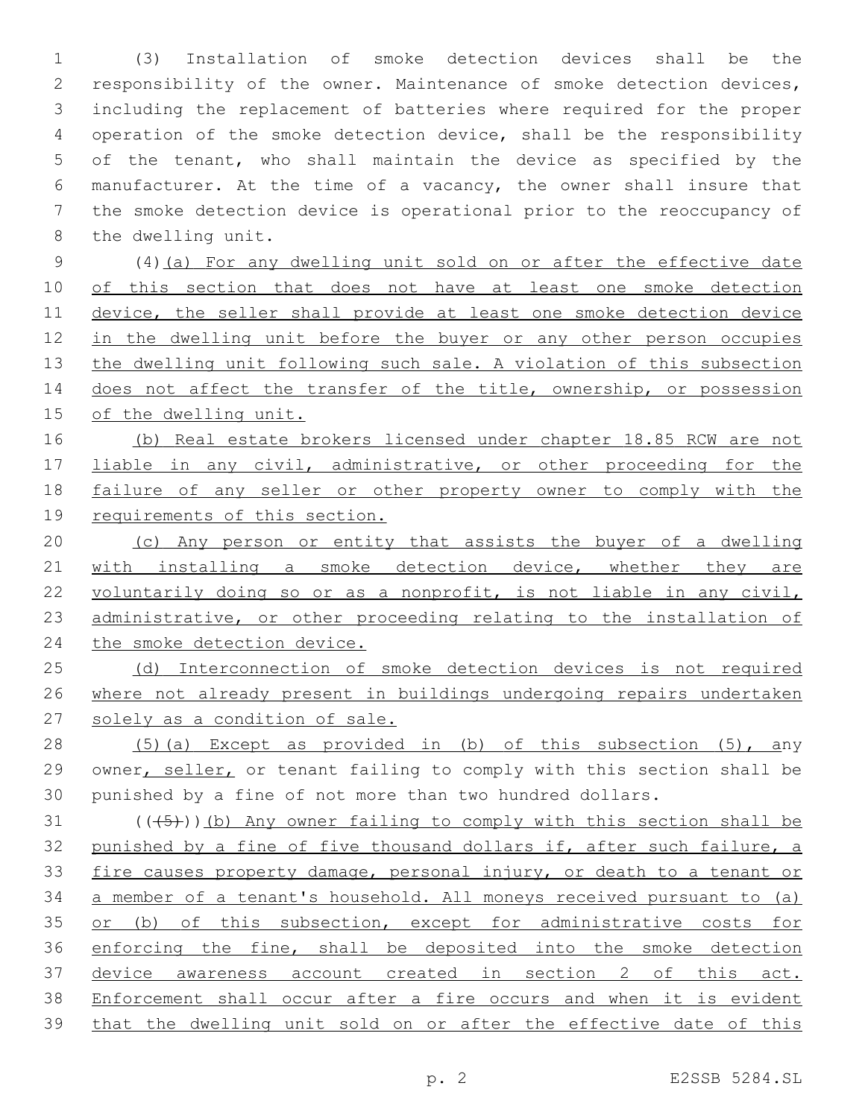(3) Installation of smoke detection devices shall be the responsibility of the owner. Maintenance of smoke detection devices, including the replacement of batteries where required for the proper operation of the smoke detection device, shall be the responsibility of the tenant, who shall maintain the device as specified by the manufacturer. At the time of a vacancy, the owner shall insure that the smoke detection device is operational prior to the reoccupancy of 8 the dwelling unit.

 (4)(a) For any dwelling unit sold on or after the effective date 10 of this section that does not have at least one smoke detection 11 device, the seller shall provide at least one smoke detection device in the dwelling unit before the buyer or any other person occupies the dwelling unit following such sale. A violation of this subsection 14 does not affect the transfer of the title, ownership, or possession of the dwelling unit.

 (b) Real estate brokers licensed under chapter 18.85 RCW are not liable in any civil, administrative, or other proceeding for the failure of any seller or other property owner to comply with the requirements of this section.

 (c) Any person or entity that assists the buyer of a dwelling 21 with installing a smoke detection device, whether they are voluntarily doing so or as a nonprofit, is not liable in any civil, administrative, or other proceeding relating to the installation of 24 the smoke detection device.

 (d) Interconnection of smoke detection devices is not required where not already present in buildings undergoing repairs undertaken solely as a condition of sale.

 (5)(a) Except as provided in (b) of this subsection (5), any 29 owner, seller, or tenant failing to comply with this section shall be punished by a fine of not more than two hundred dollars.

 $(1, 5)$  ( $(1, 5)$ ) (b) Any owner failing to comply with this section shall be punished by a fine of five thousand dollars if, after such failure, a fire causes property damage, personal injury, or death to a tenant or a member of a tenant's household. All moneys received pursuant to (a) 35 or (b) of this subsection, except for administrative costs for enforcing the fine, shall be deposited into the smoke detection 37 device awareness account created in section 2 of this act. Enforcement shall occur after a fire occurs and when it is evident that the dwelling unit sold on or after the effective date of this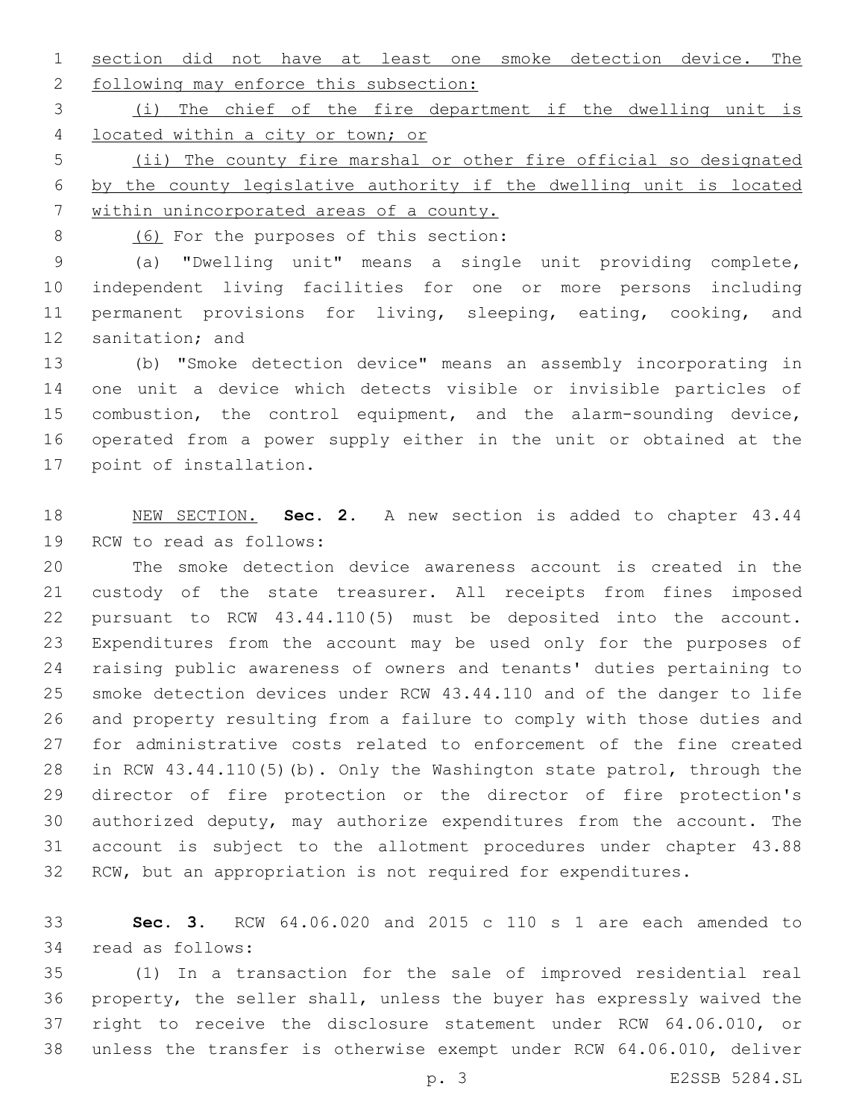section did not have at least one smoke detection device. The 2 following may enforce this subsection:

 (i) The chief of the fire department if the dwelling unit is located within a city or town; or

 (ii) The county fire marshal or other fire official so designated by the county legislative authority if the dwelling unit is located within unincorporated areas of a county.

(6) For the purposes of this section:8

 (a) "Dwelling unit" means a single unit providing complete, independent living facilities for one or more persons including 11 permanent provisions for living, sleeping, eating, cooking, and 12 sanitation; and

 (b) "Smoke detection device" means an assembly incorporating in one unit a device which detects visible or invisible particles of 15 combustion, the control equipment, and the alarm-sounding device, operated from a power supply either in the unit or obtained at the 17 point of installation.

 NEW SECTION. **Sec. 2.** A new section is added to chapter 43.44 19 RCW to read as follows:

 The smoke detection device awareness account is created in the custody of the state treasurer. All receipts from fines imposed pursuant to RCW 43.44.110(5) must be deposited into the account. Expenditures from the account may be used only for the purposes of raising public awareness of owners and tenants' duties pertaining to smoke detection devices under RCW 43.44.110 and of the danger to life and property resulting from a failure to comply with those duties and for administrative costs related to enforcement of the fine created in RCW 43.44.110(5)(b). Only the Washington state patrol, through the director of fire protection or the director of fire protection's authorized deputy, may authorize expenditures from the account. The account is subject to the allotment procedures under chapter 43.88 RCW, but an appropriation is not required for expenditures.

 **Sec. 3.** RCW 64.06.020 and 2015 c 110 s 1 are each amended to read as follows:34

 (1) In a transaction for the sale of improved residential real property, the seller shall, unless the buyer has expressly waived the right to receive the disclosure statement under RCW 64.06.010, or unless the transfer is otherwise exempt under RCW 64.06.010, deliver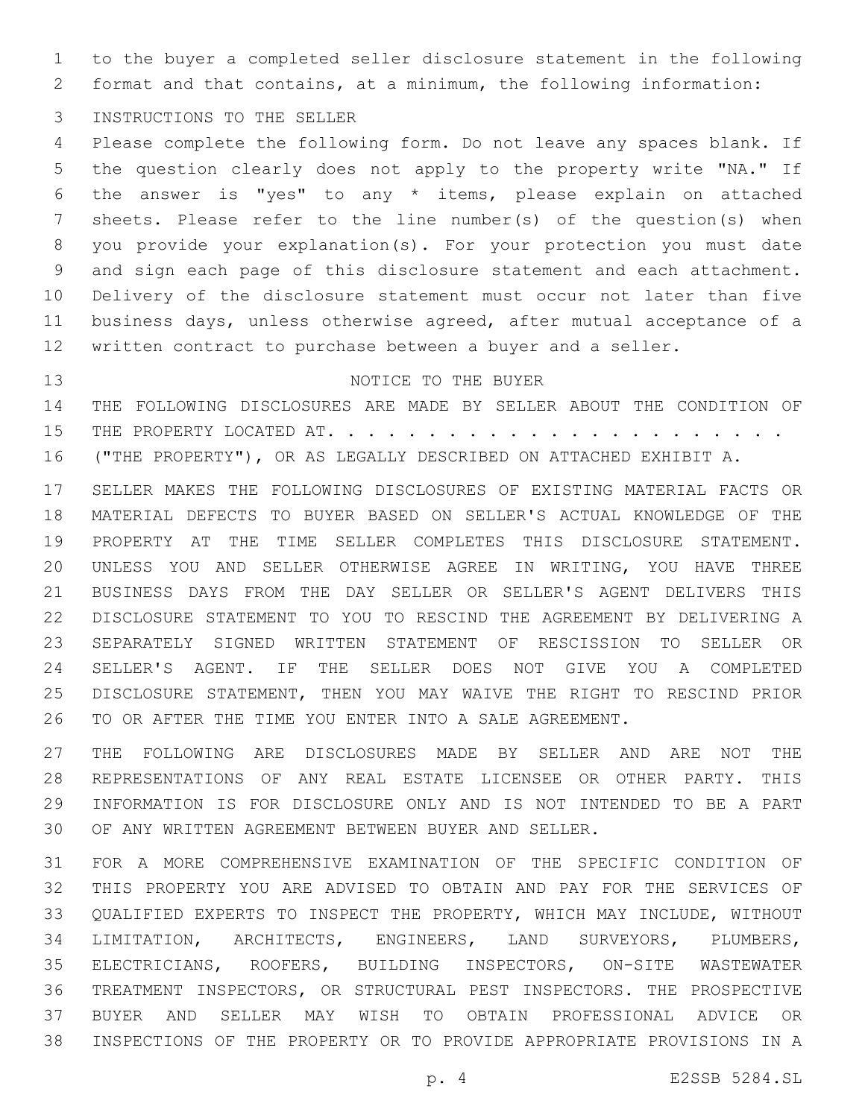to the buyer a completed seller disclosure statement in the following format and that contains, at a minimum, the following information:

3 INSTRUCTIONS TO THE SELLER

 Please complete the following form. Do not leave any spaces blank. If the question clearly does not apply to the property write "NA." If the answer is "yes" to any \* items, please explain on attached sheets. Please refer to the line number(s) of the question(s) when you provide your explanation(s). For your protection you must date and sign each page of this disclosure statement and each attachment. Delivery of the disclosure statement must occur not later than five business days, unless otherwise agreed, after mutual acceptance of a written contract to purchase between a buyer and a seller.

13 NOTICE TO THE BUYER

 THE FOLLOWING DISCLOSURES ARE MADE BY SELLER ABOUT THE CONDITION OF THE PROPERTY LOCATED AT. . . . . . . . . . . . . . . . . . . . . . . ("THE PROPERTY"), OR AS LEGALLY DESCRIBED ON ATTACHED EXHIBIT A.

 SELLER MAKES THE FOLLOWING DISCLOSURES OF EXISTING MATERIAL FACTS OR MATERIAL DEFECTS TO BUYER BASED ON SELLER'S ACTUAL KNOWLEDGE OF THE PROPERTY AT THE TIME SELLER COMPLETES THIS DISCLOSURE STATEMENT. UNLESS YOU AND SELLER OTHERWISE AGREE IN WRITING, YOU HAVE THREE BUSINESS DAYS FROM THE DAY SELLER OR SELLER'S AGENT DELIVERS THIS DISCLOSURE STATEMENT TO YOU TO RESCIND THE AGREEMENT BY DELIVERING A SEPARATELY SIGNED WRITTEN STATEMENT OF RESCISSION TO SELLER OR SELLER'S AGENT. IF THE SELLER DOES NOT GIVE YOU A COMPLETED DISCLOSURE STATEMENT, THEN YOU MAY WAIVE THE RIGHT TO RESCIND PRIOR TO OR AFTER THE TIME YOU ENTER INTO A SALE AGREEMENT.

 THE FOLLOWING ARE DISCLOSURES MADE BY SELLER AND ARE NOT THE REPRESENTATIONS OF ANY REAL ESTATE LICENSEE OR OTHER PARTY. THIS INFORMATION IS FOR DISCLOSURE ONLY AND IS NOT INTENDED TO BE A PART OF ANY WRITTEN AGREEMENT BETWEEN BUYER AND SELLER.

 FOR A MORE COMPREHENSIVE EXAMINATION OF THE SPECIFIC CONDITION OF THIS PROPERTY YOU ARE ADVISED TO OBTAIN AND PAY FOR THE SERVICES OF QUALIFIED EXPERTS TO INSPECT THE PROPERTY, WHICH MAY INCLUDE, WITHOUT LIMITATION, ARCHITECTS, ENGINEERS, LAND SURVEYORS, PLUMBERS, ELECTRICIANS, ROOFERS, BUILDING INSPECTORS, ON-SITE WASTEWATER TREATMENT INSPECTORS, OR STRUCTURAL PEST INSPECTORS. THE PROSPECTIVE BUYER AND SELLER MAY WISH TO OBTAIN PROFESSIONAL ADVICE OR INSPECTIONS OF THE PROPERTY OR TO PROVIDE APPROPRIATE PROVISIONS IN A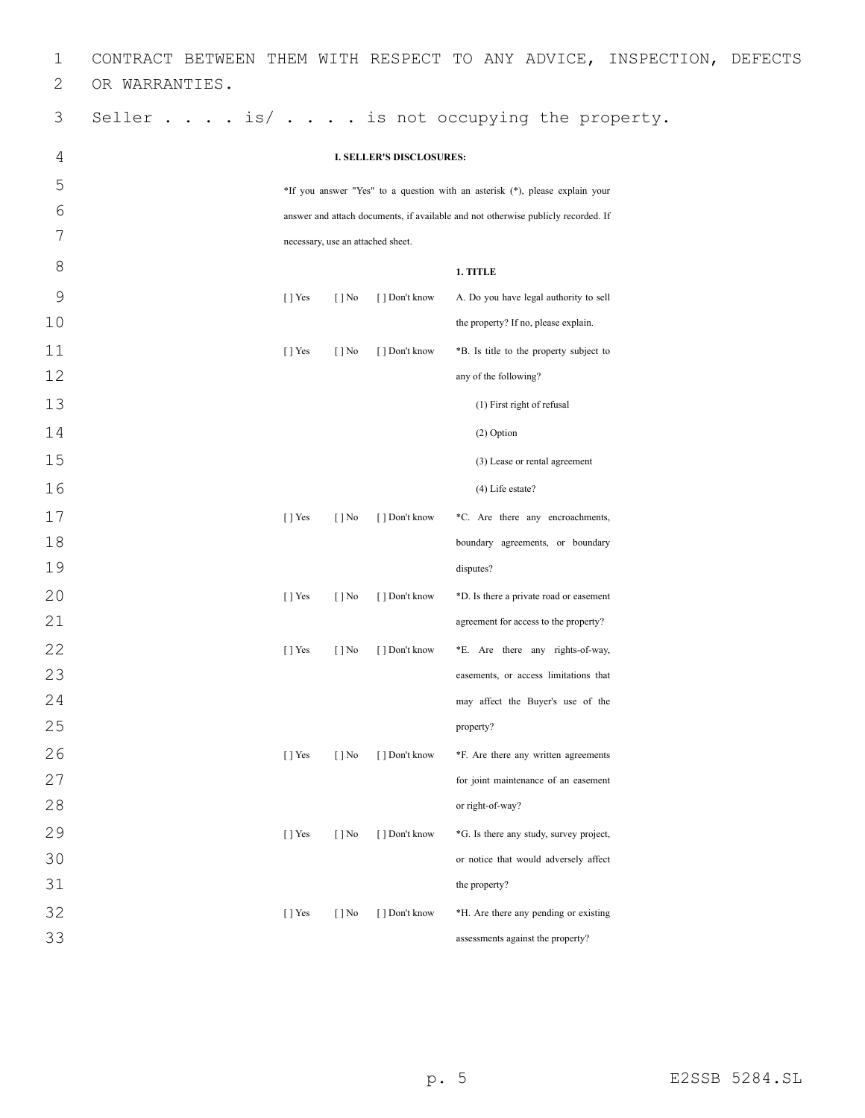| 1<br>$\mathbf{2}$ | OR WARRANTIES. |                           |                          |                                   | CONTRACT BETWEEN THEM WITH RESPECT TO ANY ADVICE, INSPECTION,                                                                                                     | DEFECTS |
|-------------------|----------------|---------------------------|--------------------------|-----------------------------------|-------------------------------------------------------------------------------------------------------------------------------------------------------------------|---------|
| 3                 |                |                           |                          |                                   | Seller $\ldots$ is/ $\ldots$ is not occupying the property.                                                                                                       |         |
| 4                 |                |                           |                          | <b>I. SELLER'S DISCLOSURES:</b>   |                                                                                                                                                                   |         |
| 5                 |                |                           |                          |                                   |                                                                                                                                                                   |         |
| 6                 |                |                           |                          |                                   | *If you answer "Yes" to a question with an asterisk (*), please explain your<br>answer and attach documents, if available and not otherwise publicly recorded. If |         |
| 7                 |                |                           |                          | necessary, use an attached sheet. |                                                                                                                                                                   |         |
| 8                 |                |                           |                          |                                   |                                                                                                                                                                   |         |
| $\mathsf 9$       |                |                           |                          |                                   | 1. TITLE                                                                                                                                                          |         |
| 10                |                | [ ] Yes                   | $[$ ] No                 | [ ] Don't know                    | A. Do you have legal authority to sell<br>the property? If no, please explain.                                                                                    |         |
| 11                |                |                           |                          | [] Don't know                     | *B. Is title to the property subject to                                                                                                                           |         |
| 12                |                | $\lceil$   Yes            | $\lceil \cdot \rceil$ No |                                   | any of the following?                                                                                                                                             |         |
| 13                |                |                           |                          |                                   | (1) First right of refusal                                                                                                                                        |         |
|                   |                |                           |                          |                                   |                                                                                                                                                                   |         |
| 14                |                |                           |                          |                                   | (2) Option                                                                                                                                                        |         |
| 15                |                |                           |                          |                                   | (3) Lease or rental agreement                                                                                                                                     |         |
| 16                |                |                           |                          |                                   | (4) Life estate?                                                                                                                                                  |         |
| 17                |                | [ ] Yes                   | $[$ ] No                 | [ ] Don't know                    | *C. Are there any encroachments,                                                                                                                                  |         |
| 18                |                |                           |                          |                                   | boundary agreements, or boundary                                                                                                                                  |         |
| 19                |                |                           |                          |                                   | disputes?                                                                                                                                                         |         |
| 20                |                | $\lceil$   Yes            | $\lceil \cdot \rceil$ No | [ ] Don't know                    | *D. Is there a private road or easement                                                                                                                           |         |
| 21                |                |                           |                          |                                   | agreement for access to the property?                                                                                                                             |         |
| 22                |                | [ ] Yes                   | $[$ ] No                 | [ ] Don't know                    | *E. Are there any rights-of-way,                                                                                                                                  |         |
| 23                |                |                           |                          |                                   | easements, or access limitations that                                                                                                                             |         |
| 24                |                |                           |                          |                                   | may affect the Buyer's use of the                                                                                                                                 |         |
| 25                |                |                           |                          |                                   | property?                                                                                                                                                         |         |
| 26                |                | $\lceil$   Yes            | $[$   No                 | [] Don't know                     | *F. Are there any written agreements                                                                                                                              |         |
| 27                |                |                           |                          |                                   | for joint maintenance of an easement                                                                                                                              |         |
| 28                |                |                           |                          |                                   | or right-of-way?                                                                                                                                                  |         |
| 29                |                | $\lceil \cdot \rceil$ Yes | $\lceil \cdot \rceil$ No | [] Don't know                     | *G. Is there any study, survey project,                                                                                                                           |         |
| 30                |                |                           |                          |                                   | or notice that would adversely affect                                                                                                                             |         |
| 31                |                |                           |                          |                                   | the property?                                                                                                                                                     |         |
| 32                |                | [ ] Yes                   | $\lceil \cdot \rceil$ No | [ ] Don't know                    | *H. Are there any pending or existing                                                                                                                             |         |
| 33                |                |                           |                          |                                   | assessments against the property?                                                                                                                                 |         |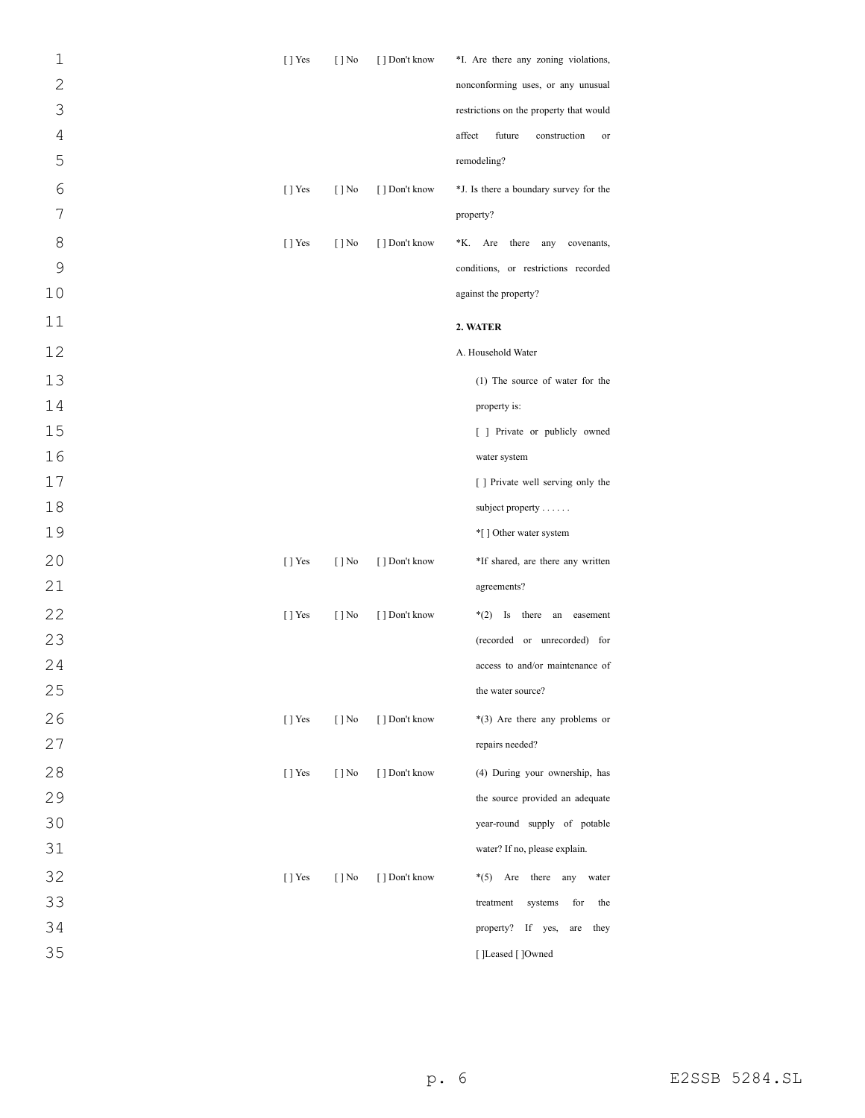| $\mathbf 1$    | [] Yes    | $[$   No                 | [ ] Don't know | *I. Are there any zoning violations,     |
|----------------|-----------|--------------------------|----------------|------------------------------------------|
| $\mathbf{2}$   |           |                          |                | nonconforming uses, or any unusual       |
| 3              |           |                          |                | restrictions on the property that would  |
| $\overline{4}$ |           |                          |                | affect<br>construction<br>future<br>or   |
| 5              |           |                          |                | remodeling?                              |
| 6              | [] Yes    | $\lceil \cdot \rceil$ No | [] Don't know  | *J. Is there a boundary survey for the   |
| 7              |           |                          |                | property?                                |
| 8              | $[ ]$ Yes | $[ ]$ No                 | [ ] Don't know | *K.<br>Are<br>there<br>any<br>covenants, |
| $\mathcal{G}$  |           |                          |                | conditions, or restrictions recorded     |
| 10             |           |                          |                | against the property?                    |
| 11             |           |                          |                | 2. WATER                                 |
| 12             |           |                          |                | A. Household Water                       |
| 13             |           |                          |                | (1) The source of water for the          |
| 14             |           |                          |                | property is:                             |
| 15             |           |                          |                | [ ] Private or publicly owned            |
| 16             |           |                          |                | water system                             |
| 17             |           |                          |                | [ ] Private well serving only the        |
| 18             |           |                          |                | subject property                         |
| 19             |           |                          |                | *[] Other water system                   |
| 20             | [] Yes    | $\lceil \cdot \rceil$ No | [ ] Don't know | *If shared, are there any written        |
| 21             |           |                          |                | agreements?                              |
| 22             | [] Yes    | $[ ]$ No                 | [ ] Don't know | there an<br>$*(2)$<br>Is<br>easement     |
| 23             |           |                          |                | (recorded or unrecorded) for             |
| 24             |           |                          |                | access to and/or maintenance of          |
| 25             |           |                          |                | the water source?                        |
| 26             | [] Yes    | $[ ]$ No                 | [] Don't know  | $*(3)$ Are there any problems or         |
| 27             |           |                          |                | repairs needed?                          |
| 28             | $[ ]$ Yes | $\lceil \cdot \rceil$ No | [] Don't know  | (4) During your ownership, has           |
| 29             |           |                          |                | the source provided an adequate          |
| 30             |           |                          |                | year-round supply of potable             |
| 31             |           |                          |                | water? If no, please explain.            |
| 32             | [] Yes    | $[ ]$ No                 | [] Don't know  | Are there<br>$*(5)$<br>any<br>water      |
| 33             |           |                          |                | for<br>treatment<br>systems<br>the       |
| 34             |           |                          |                | property?<br>If yes,<br>they<br>are      |
| 35             |           |                          |                | [ ]Leased [ ]Owned                       |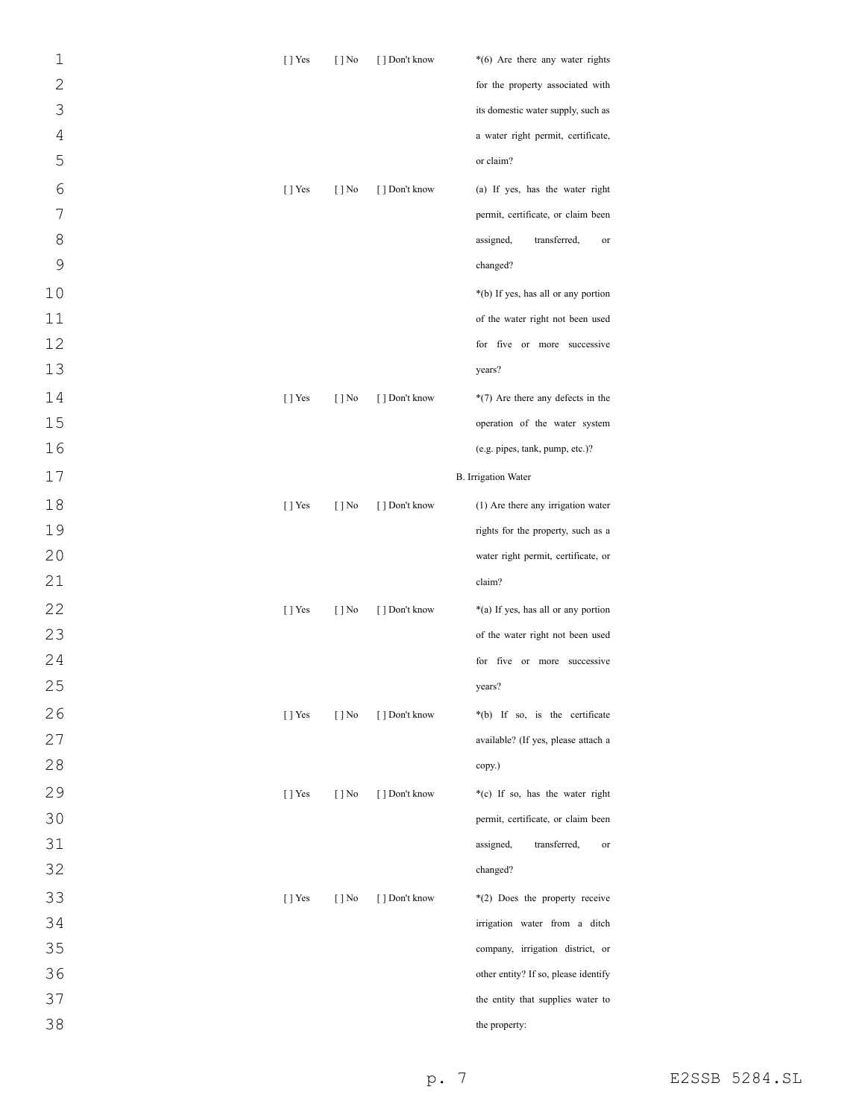| $1\,$           | [] Yes    | $[$   No                 | [ ] Don't know | *(6) Are there any water rights      |
|-----------------|-----------|--------------------------|----------------|--------------------------------------|
| $\overline{c}$  |           |                          |                | for the property associated with     |
| 3               |           |                          |                | its domestic water supply, such as   |
| $\sqrt{4}$      |           |                          |                | a water right permit, certificate,   |
| 5               |           |                          |                | or claim?                            |
| $6\phantom{1}6$ | $[$ T Yes | $[ ]$ No                 | [ ] Don't know | (a) If yes, has the water right      |
| 7               |           |                          |                | permit, certificate, or claim been   |
| 8               |           |                          |                | assigned,<br>transferred,<br>or      |
| $\mathcal{G}$   |           |                          |                | changed?                             |
| 10              |           |                          |                | *(b) If yes, has all or any portion  |
| 11              |           |                          |                | of the water right not been used     |
| 12              |           |                          |                | for five or more successive          |
| 13              |           |                          |                | years?                               |
| 14              | $[ ]$ Yes | $[ ]$ No                 | [ ] Don't know | *(7) Are there any defects in the    |
| 15              |           |                          |                | operation of the water system        |
| 16              |           |                          |                | (e.g. pipes, tank, pump, etc.)?      |
| 17              |           |                          |                | <b>B.</b> Irrigation Water           |
| 18              | $[ ]$ Yes | $[$   No                 | [ ] Don't know | (1) Are there any irrigation water   |
| 19              |           |                          |                | rights for the property, such as a   |
| 20              |           |                          |                | water right permit, certificate, or  |
| 21              |           |                          |                | claim?                               |
| 22              | [ ] Yes   | $[ ]$ No                 | [ ] Don't know | *(a) If yes, has all or any portion  |
| 23              |           |                          |                | of the water right not been used     |
| 24              |           |                          |                | for five or more successive          |
| 25              |           |                          |                | years?                               |
| 26              | $[$ T Yes | $[$ ] No                 | [] Don't know  | *(b) If so, is the certificate       |
| 27              |           |                          |                | available? (If yes, please attach a  |
| 28              |           |                          |                | copy.)                               |
| 29              | $[ ]$ Yes | $\lceil \cdot \rceil$ No | [] Don't know  | *(c) If so, has the water right      |
| 30              |           |                          |                | permit, certificate, or claim been   |
| 31              |           |                          |                | assigned,<br>transferred,<br>or      |
| 32              |           |                          |                | changed?                             |
| 33              | $[ ]$ Yes | $[$ ] No                 | [ ] Don't know | *(2) Does the property receive       |
| 34              |           |                          |                | irrigation water from a ditch        |
| 35              |           |                          |                | company, irrigation district, or     |
| 36              |           |                          |                | other entity? If so, please identify |
| 37              |           |                          |                | the entity that supplies water to    |
| 38              |           |                          |                | the property:                        |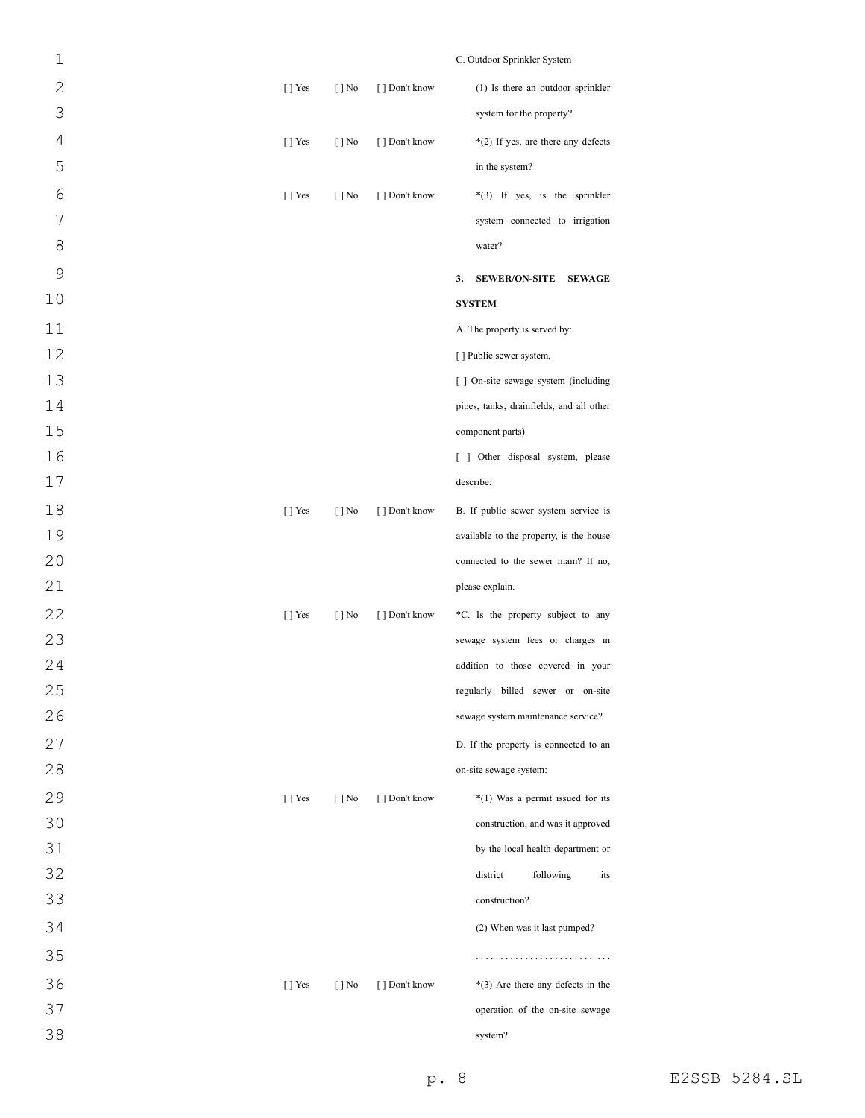| $\mathbf 1$    |                |                          |                | C. Outdoor Sprinkler System              |
|----------------|----------------|--------------------------|----------------|------------------------------------------|
| $\overline{2}$ | [ ] Yes        | $\left[\ \right]$ No     | [ ] Don't know | (1) Is there an outdoor sprinkler        |
| 3              |                |                          |                | system for the property?                 |
| $\overline{4}$ | $\lceil$   Yes | $\lceil \cdot \rceil$ No | [ ] Don't know | $*(2)$ If yes, are there any defects     |
| 5              |                |                          |                | in the system?                           |
| 6              | [ ] Yes        | $\lceil \cdot \rceil$ No | [ ] Don't know | *(3) If yes, is the sprinkler            |
| 7              |                |                          |                | system connected to irrigation           |
| 8              |                |                          |                | water?                                   |
| $\mathsf 9$    |                |                          |                | SEWER/ON-SITE<br><b>SEWAGE</b><br>3.     |
| 10             |                |                          |                | <b>SYSTEM</b>                            |
| 11             |                |                          |                | A. The property is served by:            |
| 12             |                |                          |                | [] Public sewer system,                  |
| 13             |                |                          |                | [ ] On-site sewage system (including     |
| 14             |                |                          |                | pipes, tanks, drainfields, and all other |
| 15             |                |                          |                | component parts)                         |
| 16             |                |                          |                | [ ] Other disposal system, please        |
| 17             |                |                          |                | describe:                                |
| 18             | [ ] Yes        | $\lceil \cdot \rceil$ No | [ ] Don't know | B. If public sewer system service is     |
| 19             |                |                          |                | available to the property, is the house  |
| 20             |                |                          |                | connected to the sewer main? If no,      |
| 21             |                |                          |                | please explain.                          |
| 22             | [ ] Yes        | $[ ]$ No                 | [] Don't know  | *C. Is the property subject to any       |
| 23             |                |                          |                | sewage system fees or charges in         |
| 24             |                |                          |                | addition to those covered in your        |
| 25             |                |                          |                | regularly billed sewer or on-site        |
| 26             |                |                          |                | sewage system maintenance service?       |
| 27             |                |                          |                | D. If the property is connected to an    |
| 28             |                |                          |                | on-site sewage system:                   |
| 29             | [] Yes         | $[ ]$ No                 | [] Don't know  | *(1) Was a permit issued for its         |
| 30             |                |                          |                | construction, and was it approved        |
| 31             |                |                          |                | by the local health department or        |
| 32             |                |                          |                | district<br>following<br>its             |
| 33             |                |                          |                | construction?                            |
| 34             |                |                          |                | (2) When was it last pumped?             |
| 35             |                |                          |                |                                          |
| 36             | [] Yes         | $[ ]$ No                 | [] Don't know  | $*(3)$ Are there any defects in the      |
| 37             |                |                          |                | operation of the on-site sewage          |
| 38             |                |                          |                | system?                                  |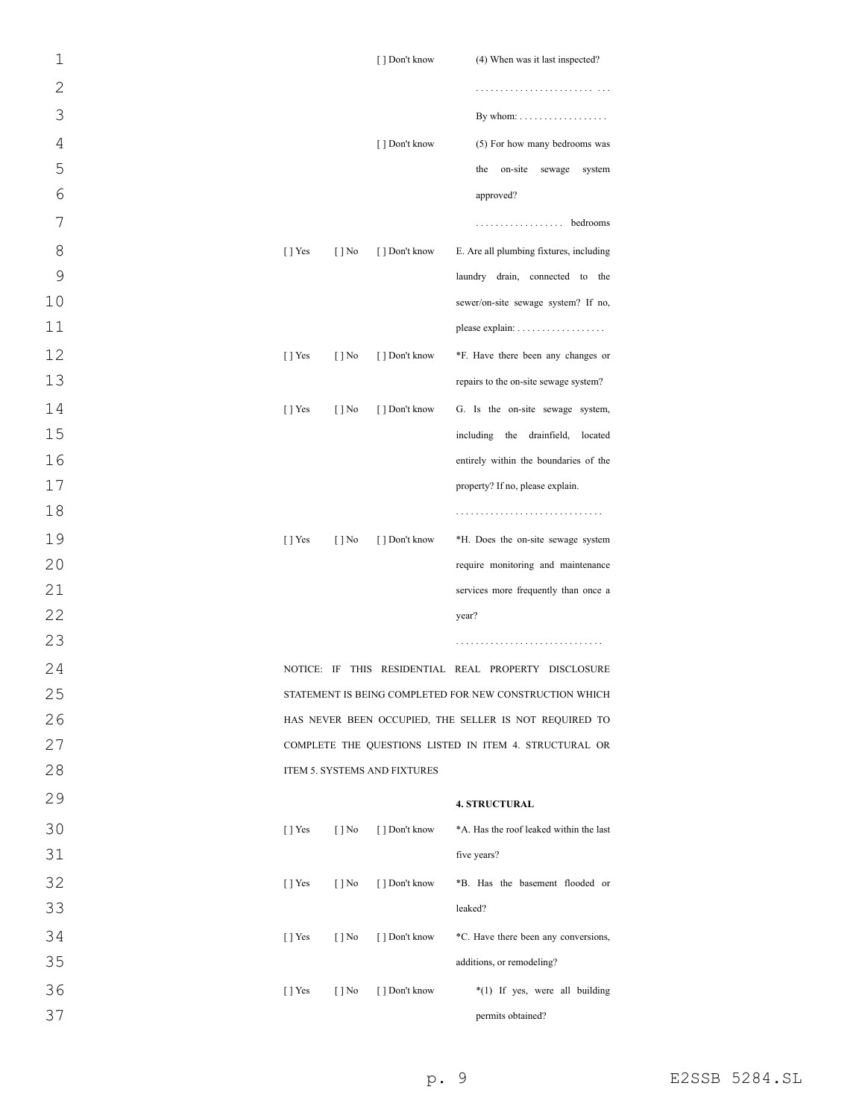| $\mathbf 1$ |                |                          | [ ] Don't know               | (4) When was it last inspected?                         |
|-------------|----------------|--------------------------|------------------------------|---------------------------------------------------------|
| 2           |                |                          |                              |                                                         |
| 3           |                |                          |                              | By whom: $\dots \dots \dots \dots \dots \dots$          |
| 4           |                |                          | [] Don't know                | (5) For how many bedrooms was                           |
| 5           |                |                          |                              | the<br>on-site<br>sewage<br>system                      |
| 6           |                |                          |                              | approved?                                               |
| 7           |                |                          |                              | . bedrooms                                              |
| 8           | $[$ ] Yes      | $\lceil \cdot \rceil$ No | [] Don't know                | E. Are all plumbing fixtures, including                 |
| 9           |                |                          |                              | laundry drain, connected to the                         |
| 10          |                |                          |                              | sewer/on-site sewage system? If no,                     |
| 11          |                |                          |                              |                                                         |
| 12          | $[$ T Yes      | $\lceil \cdot \rceil$ No | [ ] Don't know               | *F. Have there been any changes or                      |
| 13          |                |                          |                              | repairs to the on-site sewage system?                   |
| 14          | $[$ T Yes      | $[ ]$ No                 | [ ] Don't know               | G. Is the on-site sewage system,                        |
| 15          |                |                          |                              | including the drainfield,<br>located                    |
| 16          |                |                          |                              | entirely within the boundaries of the                   |
| 17          |                |                          |                              | property? If no, please explain.                        |
| 18          |                |                          |                              |                                                         |
| 19          | $[$ ] Yes      | $\lceil \cdot \rceil$ No | [] Don't know                | *H. Does the on-site sewage system                      |
| 20          |                |                          |                              | require monitoring and maintenance                      |
| 21          |                |                          |                              | services more frequently than once a                    |
| 22          |                |                          |                              | year?                                                   |
| 23          |                |                          |                              |                                                         |
| 24          |                |                          |                              | NOTICE: IF THIS RESIDENTIAL REAL PROPERTY DISCLOSURE    |
| 25          |                |                          |                              | STATEMENT IS BEING COMPLETED FOR NEW CONSTRUCTION WHICH |
| 26          |                |                          |                              | HAS NEVER BEEN OCCUPIED, THE SELLER IS NOT REQUIRED TO  |
| 27          |                |                          |                              | COMPLETE THE QUESTIONS LISTED IN ITEM 4. STRUCTURAL OR  |
| 28          |                |                          | ITEM 5. SYSTEMS AND FIXTURES |                                                         |
| 29          |                |                          |                              | <b>4. STRUCTURAL</b>                                    |
| 30          | $\lceil$   Yes | $\lceil \cdot \rceil$ No | [] Don't know                | *A. Has the roof leaked within the last                 |
| 31          |                |                          |                              | five years?                                             |
| 32          | $[$ ] Yes      | $\lceil \cdot \rceil$ No | [] Don't know                | *B. Has the basement flooded or                         |
| 33          |                |                          |                              | leaked?                                                 |
| 34          | $[$ ] Yes      | $\lceil \cdot \rceil$ No | [] Don't know                | *C. Have there been any conversions,                    |
| 35          |                |                          |                              | additions, or remodeling?                               |
| 36          | $[$ T Yes      | $\lceil \cdot \rceil$ No | [] Don't know                | *(1) If yes, were all building                          |
| 37          |                |                          |                              | permits obtained?                                       |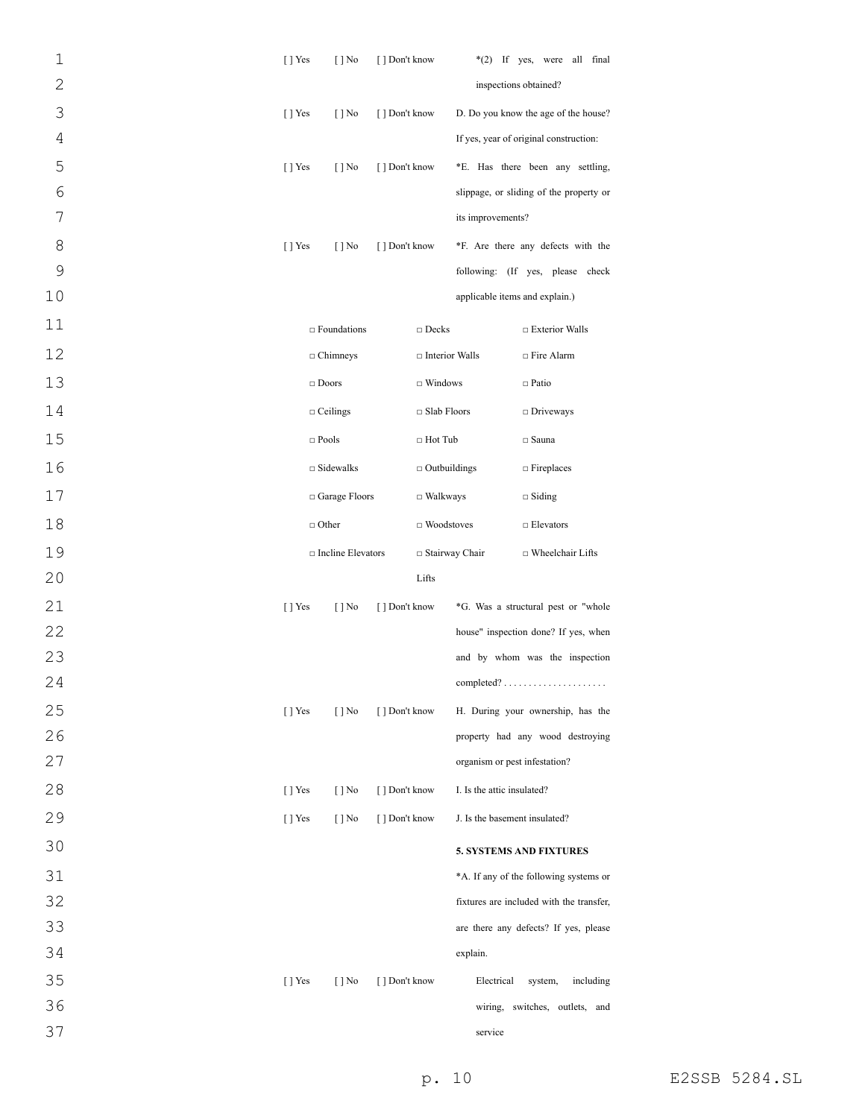| $\mathbf 1$    | [ ] Yes   | $[$ ] No                 | [ ] Don't know |                       |                                | *(2) If yes, were all final                            |
|----------------|-----------|--------------------------|----------------|-----------------------|--------------------------------|--------------------------------------------------------|
| $\overline{2}$ |           |                          |                |                       | inspections obtained?          |                                                        |
| 3              | $[$ ] Yes | $[ ]$ No                 | [ ] Don't know |                       |                                | D. Do you know the age of the house?                   |
| $\sqrt{4}$     |           |                          |                |                       |                                | If yes, year of original construction:                 |
| 5              | $[$ T Yes | $[ ]$ No                 | [ ] Don't know |                       |                                | *E. Has there been any settling,                       |
| 6              |           |                          |                |                       |                                | slippage, or sliding of the property or                |
| 7              |           |                          |                |                       | its improvements?              |                                                        |
| 8              | $[$ T Yes | $[ ]$ No                 | [ ] Don't know |                       |                                | *F. Are there any defects with the                     |
| $\mathcal{G}$  |           |                          |                |                       |                                | following: (If yes, please check                       |
| 10             |           |                          |                |                       | applicable items and explain.) |                                                        |
| 11             |           | $\Box$ Foundations       |                | $\Box$ Decks          |                                | □ Exterior Walls                                       |
| 12             |           | $\Box$ Chimneys          |                | $\Box$ Interior Walls |                                | □ Fire Alarm                                           |
| 13             |           | $\Box$ Doors             |                | $\Box$ Windows        |                                | $\Box$ Patio                                           |
| 14             |           | $\Box$ Ceilings          |                | $\Box$ Slab Floors    |                                | $\Box$ Driveways                                       |
| 15             |           | $\Box$ Pools             |                | □ Hot Tub             |                                | $\Box$ Sauna                                           |
| 16             |           | $\Box$ Sidewalks         |                | $\Box$ Outbuildings   |                                | $\Box$ Fireplaces                                      |
| 17             |           | □ Garage Floors          |                | $\Box$ Walkways       |                                | $\Box$ Siding                                          |
| 18             |           | $\Box$ Other             |                | $\Box$ Woodstoves     |                                | $\Box$ Elevators                                       |
|                |           |                          |                |                       |                                |                                                        |
| 19             |           | □ Incline Elevators      |                | □ Stairway Chair      |                                | □ Wheelchair Lifts                                     |
| 20             |           |                          |                | Lifts                 |                                |                                                        |
| 21             | $[ ]$ Yes | $[ ]$ No                 | [ ] Don't know |                       |                                | *G. Was a structural pest or "whole                    |
| 22             |           |                          |                |                       |                                | house" inspection done? If yes, when                   |
| 23             |           |                          |                |                       |                                | and by whom was the inspection                         |
| 24             |           |                          |                |                       |                                | $completed? \ldots \ldots \ldots \ldots \ldots \ldots$ |
| 25             | $[$ T Yes | $\lceil \cdot \rceil$ No | [ ] Don't know |                       |                                | H. During your ownership, has the                      |
| 26             |           |                          |                |                       |                                | property had any wood destroying                       |
| 27             |           |                          |                |                       | organism or pest infestation?  |                                                        |
| 28             | $[$ T Yes | $[$ ] No                 | [] Don't know  |                       | I. Is the attic insulated?     |                                                        |
| 29             | $[$ T Yes | $[ ]$ No                 | [ ] Don't know |                       | J. Is the basement insulated?  |                                                        |
| 30             |           |                          |                |                       |                                | <b>5. SYSTEMS AND FIXTURES</b>                         |
| 31             |           |                          |                |                       |                                | *A. If any of the following systems or                 |
| 32             |           |                          |                |                       |                                | fixtures are included with the transfer,               |
| 33             |           |                          |                |                       |                                | are there any defects? If yes, please                  |
| 34             |           |                          |                |                       | explain.                       |                                                        |
| 35             | $[$ T Yes | $[ ]$ No                 | [ ] Don't know |                       | Electrical                     | system,<br>including                                   |
| 36             |           |                          |                |                       |                                | wiring, switches, outlets, and                         |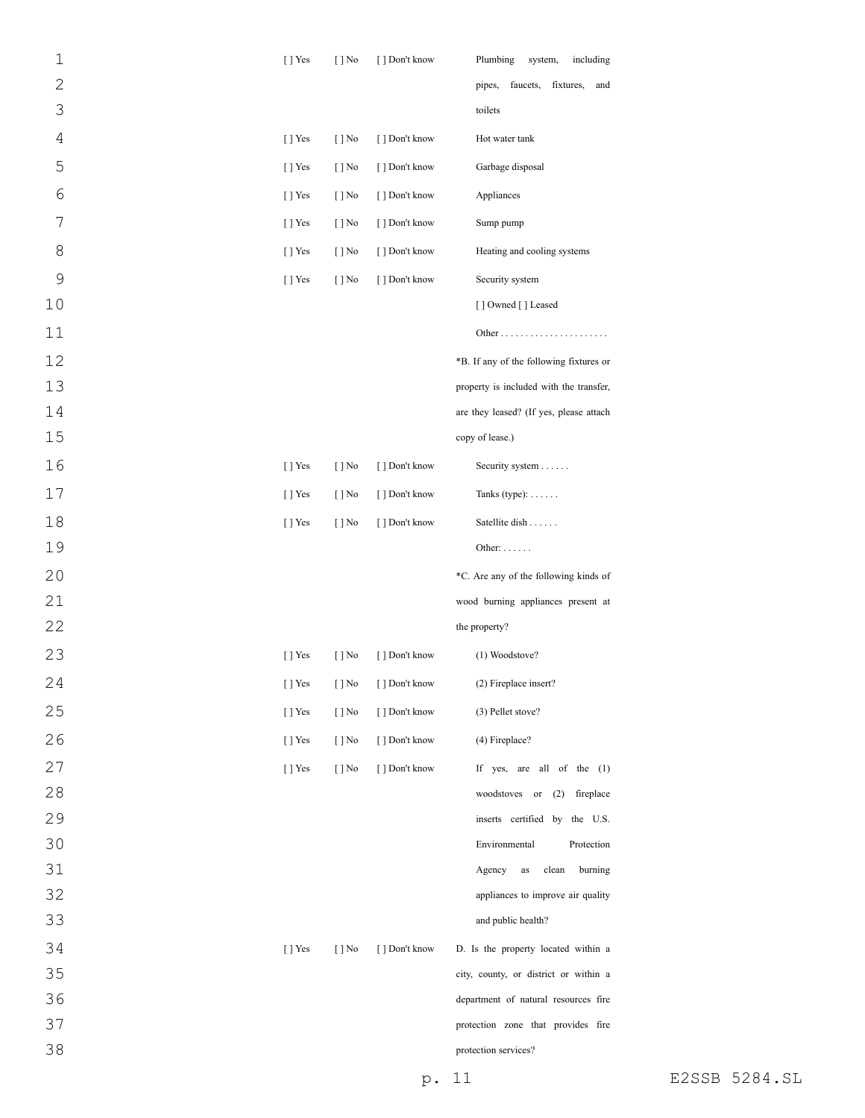| $\mathbf 1$  | [ ] Yes               | $[ ]$ No                 | [ ] Don't know | Plumbing<br>system,<br>including        |
|--------------|-----------------------|--------------------------|----------------|-----------------------------------------|
| $\mathbf{2}$ |                       |                          |                | pipes,<br>faucets,<br>fixtures, and     |
| 3            |                       |                          |                | toilets                                 |
| 4            | $[$ T Yes             | $\lceil \cdot \rceil$ No | [ ] Don't know | Hot water tank                          |
| 5            | [ ] Yes               | $[ ]$ No                 | [ ] Don't know | Garbage disposal                        |
| 6            | $[$ T Yes             | $\lceil \cdot \rceil$ No | [ ] Don't know | Appliances                              |
| 7            | $[$ T Yes             | $[$ ] No                 | [ ] Don't know | Sump pump                               |
| 8            | [ ] Yes               | $[ ]$ No                 | [ ] Don't know | Heating and cooling systems             |
| 9            | [ ] Yes               | $[ ]$ No                 | [ ] Don't know | Security system                         |
| 10           |                       |                          |                | [] Owned [] Leased                      |
| 11           |                       |                          |                |                                         |
| 12           |                       |                          |                | *B. If any of the following fixtures or |
| 13           |                       |                          |                | property is included with the transfer, |
| 14           |                       |                          |                | are they leased? (If yes, please attach |
| 15           |                       |                          |                | copy of lease.)                         |
| 16           | $[$ T Yes             | $[$ ] No                 | [ ] Don't know | Security system                         |
| 17           | $[$ T Yes             | $[$ ] No                 | [ ] Don't know | Tanks (type): $\dots$ .                 |
| 18           | [ ] Yes               | $[ ]$ No                 | [ ] Don't know | Satellite dish                          |
| 19           |                       |                          |                | Other: $\dots$                          |
| 20           |                       |                          |                | *C. Are any of the following kinds of   |
| 21           |                       |                          |                | wood burning appliances present at      |
| 22           |                       |                          |                | the property?                           |
| 23           | [ ] Yes               | $\lceil \cdot \rceil$ No | [ ] Don't know | (1) Woodstove?                          |
| 24           | $\left[\ \right]$ Yes | $\left[\ \right]$ No     | [ ] Don't know | (2) Fireplace insert?                   |
| 25           | [] Yes                | $[ ]$ No                 | [] Don't know  | (3) Pellet stove?                       |
| 26           | $[$ T Yes             | $\lceil \cdot \rceil$ No | [] Don't know  | (4) Fireplace?                          |
| 27           | $[$ ] Yes             | $[$   No                 | [] Don't know  | If yes, are all of the (1)              |
| 28           |                       |                          |                | woodstoves or (2) fireplace             |
| 29           |                       |                          |                | inserts certified by the U.S.           |
| 30           |                       |                          |                | Environmental<br>Protection             |
| 31           |                       |                          |                | Agency<br>burning<br>clean<br>as        |
| 32           |                       |                          |                | appliances to improve air quality       |
| 33           |                       |                          |                | and public health?                      |
| 34           | $[$ ] Yes             | $[$ ] No                 | [] Don't know  | D. Is the property located within a     |
| 35           |                       |                          |                | city, county, or district or within a   |
| 36           |                       |                          |                | department of natural resources fire    |
| 37           |                       |                          |                | protection zone that provides fire      |
| 38           |                       |                          |                | protection services?                    |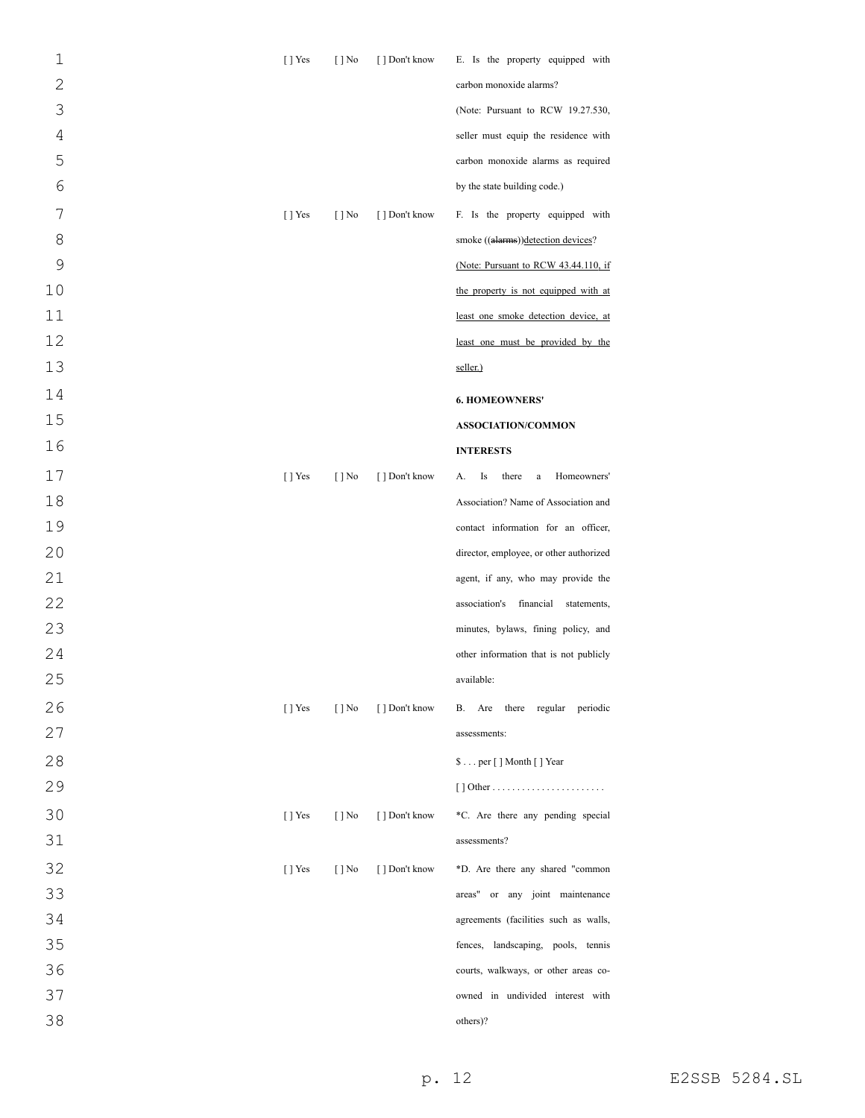| $\mathbf 1$    | [] Yes    | $[ ]$ No                 | [ ] Don't know | E. Is the property equipped with          |
|----------------|-----------|--------------------------|----------------|-------------------------------------------|
| $\mathbf{2}$   |           |                          |                | carbon monoxide alarms?                   |
| 3              |           |                          |                | (Note: Pursuant to RCW 19.27.530,         |
| $\overline{4}$ |           |                          |                | seller must equip the residence with      |
| 5              |           |                          |                | carbon monoxide alarms as required        |
| 6              |           |                          |                | by the state building code.)              |
| 7              | $[$ ] Yes | $\lceil \cdot \rceil$ No | [] Don't know  | F. Is the property equipped with          |
| 8              |           |                          |                | smoke ((alarms))detection devices?        |
| 9              |           |                          |                | (Note: Pursuant to RCW 43.44.110, if      |
| 10             |           |                          |                | the property is not equipped with at      |
| 11             |           |                          |                | least one smoke detection device, at      |
| 12             |           |                          |                | least one must be provided by the         |
| 13             |           |                          |                | seller.)                                  |
| 14             |           |                          |                | <b>6. HOMEOWNERS'</b>                     |
| 15             |           |                          |                | ASSOCIATION/COMMON                        |
| 16             |           |                          |                | <b>INTERESTS</b>                          |
| 17             | $[$ ] Yes | $[$ ] No                 | [] Don't know  | Is<br>Homeowners'<br>А.<br>there<br>a     |
| 18             |           |                          |                | Association? Name of Association and      |
| 19             |           |                          |                | contact information for an officer,       |
| 20             |           |                          |                | director, employee, or other authorized   |
| 21             |           |                          |                | agent, if any, who may provide the        |
| 22             |           |                          |                | association's<br>financial<br>statements, |
| 23             |           |                          |                | minutes, bylaws, fining policy, and       |
| 24             |           |                          |                | other information that is not publicly    |
| 25             |           |                          |                | available:                                |
| 26             | $[$ T Yes | $\lceil \cdot \rceil$ No | [] Don't know  | B. Are there regular periodic             |
| 27             |           |                          |                | assessments:                              |
| 28             |           |                          |                | $\$ per [] Month [] Year                  |
| 29             |           |                          |                |                                           |
| 30             | [] Yes    | $[$ ] No                 | [] Don't know  | *C. Are there any pending special         |
| 31             |           |                          |                | assessments?                              |
| 32             | $[$ T Yes | $\lceil \cdot \rceil$ No | [] Don't know  | *D. Are there any shared "common          |
| 33             |           |                          |                | areas" or any joint maintenance           |
| 34             |           |                          |                | agreements (facilities such as walls,     |
| 35             |           |                          |                | fences, landscaping, pools, tennis        |
| 36             |           |                          |                | courts, walkways, or other areas co-      |
| 37             |           |                          |                | owned in undivided interest with          |
| 38             |           |                          |                | others)?                                  |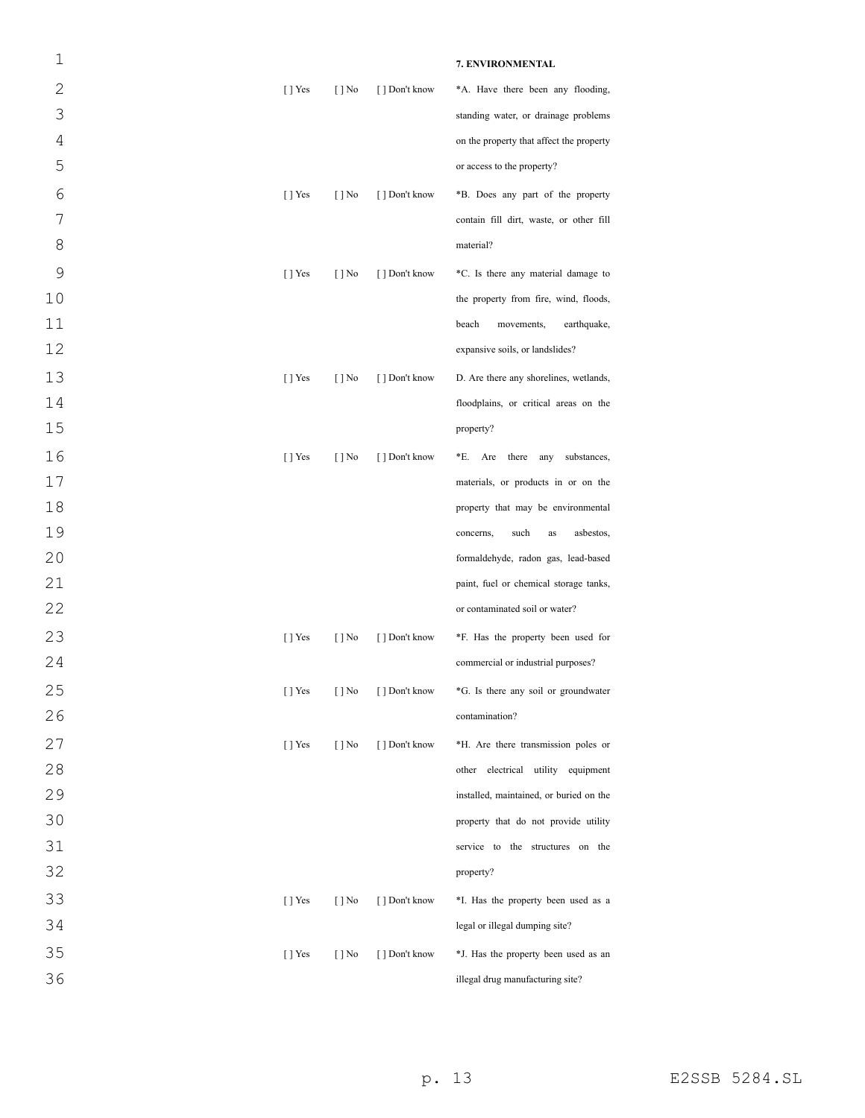| $\mathbf 1$    |                |                          |                | 7. ENVIRONMENTAL                         |
|----------------|----------------|--------------------------|----------------|------------------------------------------|
| $\overline{c}$ | $\lceil$   Yes | $\lceil \cdot \rceil$ No | [ ] Don't know | *A. Have there been any flooding,        |
| 3              |                |                          |                | standing water, or drainage problems     |
| $\sqrt{4}$     |                |                          |                | on the property that affect the property |
| 5              |                |                          |                | or access to the property?               |
| 6              | $\lceil$   Yes | $\lceil \cdot \rceil$ No | [ ] Don't know | *B. Does any part of the property        |
| 7              |                |                          |                | contain fill dirt, waste, or other fill  |
| 8              |                |                          |                | material?                                |
| 9              | $[$ ] Yes      | $\lceil \cdot \rceil$ No | [ ] Don't know | *C. Is there any material damage to      |
| 10             |                |                          |                | the property from fire, wind, floods,    |
| 11             |                |                          |                | beach<br>earthquake,<br>movements,       |
| 12             |                |                          |                | expansive soils, or landslides?          |
| 13             | $[$ T Yes      | $\lceil \cdot \rceil$ No | [ ] Don't know | D. Are there any shorelines, wetlands,   |
| 14             |                |                          |                | floodplains, or critical areas on the    |
| 15             |                |                          |                | property?                                |
| 16             | $[$ ] Yes      | $\lceil \cdot \rceil$ No | [ ] Don't know | *E.<br>Are<br>there any<br>substances,   |
| 17             |                |                          |                | materials, or products in or on the      |
| 18             |                |                          |                | property that may be environmental       |
| 19             |                |                          |                | asbestos,<br>concerns,<br>such<br>as     |
| 20             |                |                          |                | formaldehyde, radon gas, lead-based      |
| 21             |                |                          |                | paint, fuel or chemical storage tanks,   |
| 22             |                |                          |                | or contaminated soil or water?           |
| 23             | $[$ T Yes      | $[ ]$ No                 | [ ] Don't know | *F. Has the property been used for       |
| 24             |                |                          |                | commercial or industrial purposes?       |
| 25             | $[$ T Yes      | $[ ]$ No                 | [ ] Don't know | *G. Is there any soil or groundwater     |
| 26             |                |                          |                | contamination?                           |
| 27             | $[$ T Yes      | $[ ]$ No                 | [ ] Don't know | *H. Are there transmission poles or      |
| 28             |                |                          |                | other electrical utility equipment       |
| 29             |                |                          |                | installed, maintained, or buried on the  |
| 30             |                |                          |                | property that do not provide utility     |
| 31             |                |                          |                | service to the structures on the         |
| 32             |                |                          |                | property?                                |
| 33             | $[$ T Yes      | $[ ]$ No                 | [ ] Don't know | *I. Has the property been used as a      |
| 34             |                |                          |                | legal or illegal dumping site?           |
| 35             | $[$ T Yes      | $[ ]$ No                 | [ ] Don't know | *J. Has the property been used as an     |
| 36             |                |                          |                | illegal drug manufacturing site?         |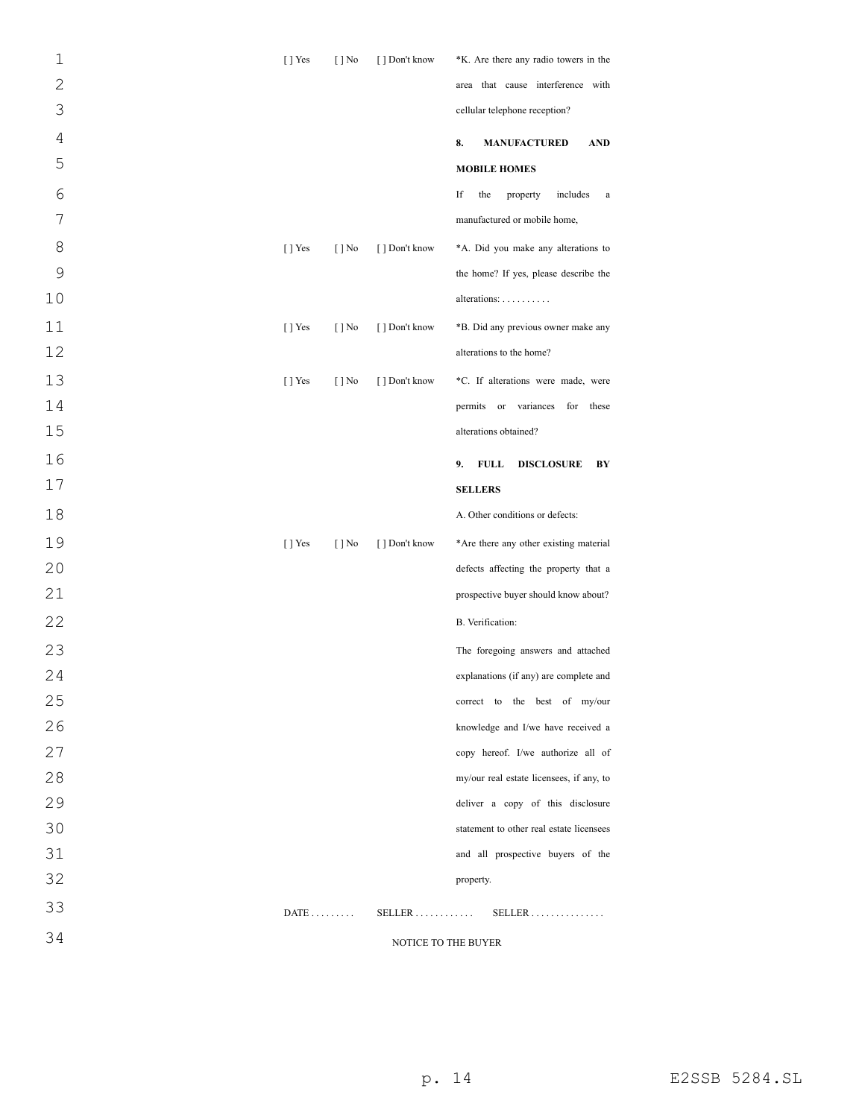| 1              | [] Yes    | $[ ]$ No | [ ] Don't know      | *K. Are there any radio towers in the         |
|----------------|-----------|----------|---------------------|-----------------------------------------------|
| $\overline{2}$ |           |          |                     | area that cause interference with             |
| 3              |           |          |                     | cellular telephone reception?                 |
| 4              |           |          |                     | 8.<br><b>MANUFACTURED</b><br><b>AND</b>       |
| 5              |           |          |                     | <b>MOBILE HOMES</b>                           |
| 6              |           |          |                     | If<br>the<br>property<br>includes<br>$\rm{a}$ |
| 7              |           |          |                     | manufactured or mobile home,                  |
| 8              | $[$ T Yes | $[ ]$ No | [ ] Don't know      | *A. Did you make any alterations to           |
| 9              |           |          |                     | the home? If yes, please describe the         |
| 10             |           |          |                     | alterations:                                  |
| 11             | $[$ T Yes | $[ ]$ No | [ ] Don't know      | *B. Did any previous owner make any           |
| 12             |           |          |                     | alterations to the home?                      |
| 13             | $[$ T Yes | $[ ]$ No | [ ] Don't know      | *C. If alterations were made, were            |
| 14             |           |          |                     | permits or variances for<br>these             |
| 15             |           |          |                     | alterations obtained?                         |
| 16             |           |          |                     | <b>FULL</b><br>9.<br><b>DISCLOSURE</b><br>BY  |
| 17             |           |          |                     | <b>SELLERS</b>                                |
| 18             |           |          |                     | A. Other conditions or defects:               |
| 19             | $[$ T Yes | $[ ]$ No | [ ] Don't know      | *Are there any other existing material        |
| 20             |           |          |                     | defects affecting the property that a         |
| 21             |           |          |                     | prospective buyer should know about?          |
| 22             |           |          |                     | B. Verification:                              |
| 23             |           |          |                     | The foregoing answers and attached            |
| 24             |           |          |                     | explanations (if any) are complete and        |
| 25             |           |          |                     | correct to the best of my/our                 |
| 26             |           |          |                     | knowledge and I/we have received a            |
| 27             |           |          |                     | copy hereof. I/we authorize all of            |
| 28             |           |          |                     | my/our real estate licensees, if any, to      |
| 29             |           |          |                     | deliver a copy of this disclosure             |
| 30             |           |          |                     | statement to other real estate licensees      |
| 31             |           |          |                     | and all prospective buyers of the             |
| 32             |           |          |                     | property.                                     |
| 33             | $DATE$    |          | $SELECTR$           | $SELECT R$                                    |
| 34             |           |          | NOTICE TO THE BUYER |                                               |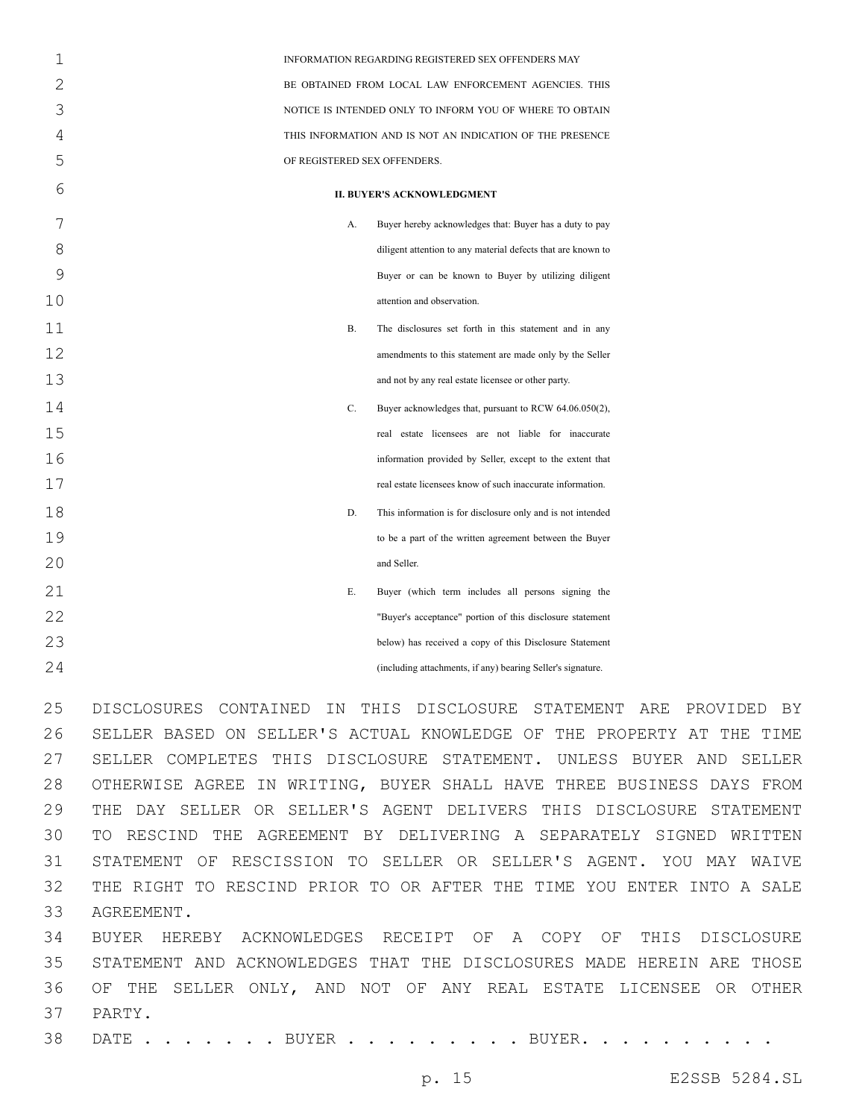| 1              |                                                          | <b>INFORMATION REGARDING REGISTERED SEX OFFENDERS MAY</b>    |  |  |  |  |
|----------------|----------------------------------------------------------|--------------------------------------------------------------|--|--|--|--|
| $\overline{2}$ | BE OBTAINED FROM LOCAL LAW ENFORCEMENT AGENCIES. THIS    |                                                              |  |  |  |  |
| 3              | NOTICE IS INTENDED ONLY TO INFORM YOU OF WHERE TO OBTAIN |                                                              |  |  |  |  |
| 4              |                                                          | THIS INFORMATION AND IS NOT AN INDICATION OF THE PRESENCE    |  |  |  |  |
| 5              | OF REGISTERED SEX OFFENDERS.                             |                                                              |  |  |  |  |
| 6              |                                                          | <b>II. BUYER'S ACKNOWLEDGMENT</b>                            |  |  |  |  |
| 7              | A.                                                       | Buyer hereby acknowledges that: Buyer has a duty to pay      |  |  |  |  |
| 8              |                                                          | diligent attention to any material defects that are known to |  |  |  |  |
| 9              |                                                          | Buyer or can be known to Buyer by utilizing diligent         |  |  |  |  |
| 10             |                                                          | attention and observation.                                   |  |  |  |  |
| 11             | В.                                                       | The disclosures set forth in this statement and in any       |  |  |  |  |
| 12             |                                                          | amendments to this statement are made only by the Seller     |  |  |  |  |
| 13             |                                                          | and not by any real estate licensee or other party.          |  |  |  |  |
| 14             | $C_{\cdot}$                                              | Buyer acknowledges that, pursuant to RCW 64.06.050(2),       |  |  |  |  |
| 15             |                                                          | real estate licensees are not liable for inaccurate          |  |  |  |  |
| 16             |                                                          | information provided by Seller, except to the extent that    |  |  |  |  |
| 17             |                                                          | real estate licensees know of such inaccurate information.   |  |  |  |  |
| 18             | D.                                                       | This information is for disclosure only and is not intended  |  |  |  |  |
| 19             |                                                          | to be a part of the written agreement between the Buyer      |  |  |  |  |
| 20             |                                                          | and Seller.                                                  |  |  |  |  |
| 21             | E.                                                       | Buyer (which term includes all persons signing the           |  |  |  |  |
| 22             |                                                          | "Buyer's acceptance" portion of this disclosure statement    |  |  |  |  |
| 23             |                                                          | below) has received a copy of this Disclosure Statement      |  |  |  |  |
| 24             |                                                          | (including attachments, if any) bearing Seller's signature.  |  |  |  |  |

 DISCLOSURES CONTAINED IN THIS DISCLOSURE STATEMENT ARE PROVIDED BY SELLER BASED ON SELLER'S ACTUAL KNOWLEDGE OF THE PROPERTY AT THE TIME SELLER COMPLETES THIS DISCLOSURE STATEMENT. UNLESS BUYER AND SELLER OTHERWISE AGREE IN WRITING, BUYER SHALL HAVE THREE BUSINESS DAYS FROM THE DAY SELLER OR SELLER'S AGENT DELIVERS THIS DISCLOSURE STATEMENT TO RESCIND THE AGREEMENT BY DELIVERING A SEPARATELY SIGNED WRITTEN STATEMENT OF RESCISSION TO SELLER OR SELLER'S AGENT. YOU MAY WAIVE THE RIGHT TO RESCIND PRIOR TO OR AFTER THE TIME YOU ENTER INTO A SALE 33 AGREEMENT.

 BUYER HEREBY ACKNOWLEDGES RECEIPT OF A COPY OF THIS DISCLOSURE STATEMENT AND ACKNOWLEDGES THAT THE DISCLOSURES MADE HEREIN ARE THOSE OF THE SELLER ONLY, AND NOT OF ANY REAL ESTATE LICENSEE OR OTHER 37 PARTY.

38 DATE . . . . . . BUYER . . . . . . . . BUYER . . . . . . .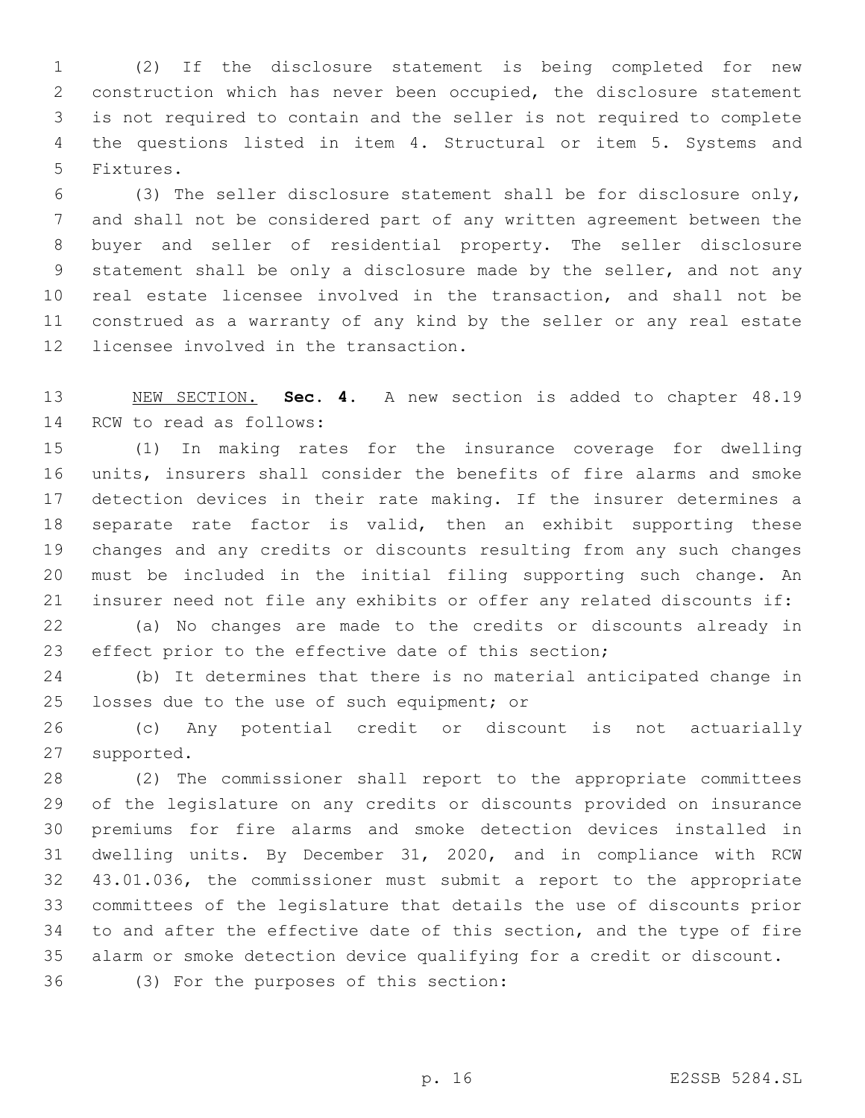(2) If the disclosure statement is being completed for new construction which has never been occupied, the disclosure statement is not required to contain and the seller is not required to complete the questions listed in item 4. Structural or item 5. Systems and 5 Fixtures.

 (3) The seller disclosure statement shall be for disclosure only, and shall not be considered part of any written agreement between the buyer and seller of residential property. The seller disclosure statement shall be only a disclosure made by the seller, and not any real estate licensee involved in the transaction, and shall not be construed as a warranty of any kind by the seller or any real estate 12 licensee involved in the transaction.

 NEW SECTION. **Sec. 4.** A new section is added to chapter 48.19 14 RCW to read as follows:

 (1) In making rates for the insurance coverage for dwelling units, insurers shall consider the benefits of fire alarms and smoke detection devices in their rate making. If the insurer determines a separate rate factor is valid, then an exhibit supporting these changes and any credits or discounts resulting from any such changes must be included in the initial filing supporting such change. An insurer need not file any exhibits or offer any related discounts if:

 (a) No changes are made to the credits or discounts already in effect prior to the effective date of this section;

 (b) It determines that there is no material anticipated change in 25 losses due to the use of such equipment; or

 (c) Any potential credit or discount is not actuarially 27 supported.

 (2) The commissioner shall report to the appropriate committees of the legislature on any credits or discounts provided on insurance premiums for fire alarms and smoke detection devices installed in dwelling units. By December 31, 2020, and in compliance with RCW 43.01.036, the commissioner must submit a report to the appropriate committees of the legislature that details the use of discounts prior to and after the effective date of this section, and the type of fire alarm or smoke detection device qualifying for a credit or discount. (3) For the purposes of this section:36

p. 16 E2SSB 5284.SL